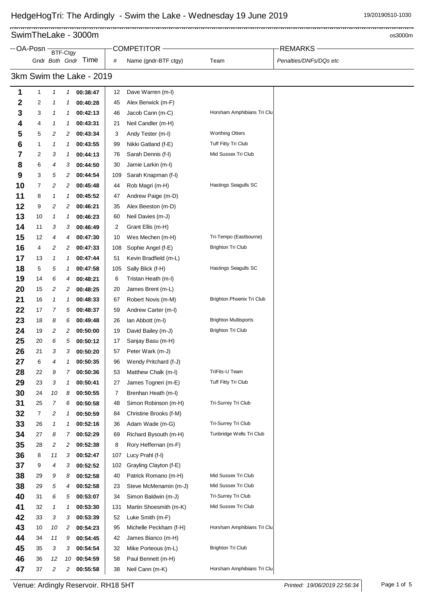. . . . . . . . . . . . . . .

 $\frac{1}{2}$ SwimTheLake - 3000m os3000m os3000m os3000m os3000m os3000m

| -OA-Posn |                          | <b>BTF-Ctgy</b>            |    |                     |     | <b>COMPETITOR -</b>    |                             | <b>REMARKS</b>         |  |  |
|----------|--------------------------|----------------------------|----|---------------------|-----|------------------------|-----------------------------|------------------------|--|--|
|          |                          |                            |    | Gndr Both Gndr Time | #   | Name (gndr-BTF ctgy)   | Team                        | Penalties/DNFs/DQs etc |  |  |
|          | 3km Swim the Lake - 2019 |                            |    |                     |     |                        |                             |                        |  |  |
| 1        | 1                        | 1                          | 1  | 00:38:47            | 12  | Dave Warren (m-l)      |                             |                        |  |  |
| 2        | 2                        | 1                          | 1  | 00:40:28            | 45  | Alex Berwick (m-F)     |                             |                        |  |  |
| 3        | 3                        | 1                          | 1  | 00:42:13            | 46  | Jacob Cann (m-C)       | Horsham Amphibians Tri Clu  |                        |  |  |
| 4        | 4                        | 1                          | 1  | 00:43:31            | 21  | Neil Candler (m-H)     |                             |                        |  |  |
| 5        | 5                        | 2                          | 2  | 00:43:34            | 3   | Andy Tester (m-I)      | <b>Worthing Otters</b>      |                        |  |  |
| 6        | 1                        | 1                          | 1  | 00:43:55            | 99  | Nikki Gatland (f-E)    | Tuff Fitty Tri Club         |                        |  |  |
| 7        | 2                        | 3                          | 1  | 00:44:13            | 76  | Sarah Dennis (f-I)     | Mid Sussex Tri Club         |                        |  |  |
| 8        | 6                        | 4                          | 3  | 00:44:50            | 30  | Jamie Larkin (m-l)     |                             |                        |  |  |
| 9        | 3                        | 5                          | 2  | 00:44:54            | 109 | Sarah Knapman (f-l)    |                             |                        |  |  |
| 10       | 7                        | 2                          | 2  | 00:45:48            | 44  | Rob Magri (m-H)        | Hastings Seagulls SC        |                        |  |  |
| 11       | 8                        | $\boldsymbol{\mathcal{L}}$ | 1  | 00:45:52            | 47  | Andrew Paige (m-D)     |                             |                        |  |  |
| 12       | 9                        | 2                          | 2  | 00:46:21            | 35  | Alex Beeston (m-D)     |                             |                        |  |  |
| 13       | 10                       | 1                          | 1  | 00:46:23            | 60  | Neil Davies (m-J)      |                             |                        |  |  |
| 14       | 11                       | 3                          | 3  | 00:46:49            | 2   | Grant Ellis (m-H)      |                             |                        |  |  |
| 15       | 12                       | 4                          | 4  | 00:47:30            | 10  | Wes Mechen (m-H)       | Tri-Tempo (Eastbourne)      |                        |  |  |
| 16       | 4                        | 2                          | 2  | 00:47:33            | 108 | Sophie Angel (f-E)     | <b>Brighton Tri Club</b>    |                        |  |  |
| 17       | 13                       | 1                          | 1  | 00:47:44            | 51  | Kevin Bradfield (m-L)  |                             |                        |  |  |
| 18       | 5                        | 5                          | 1  | 00:47:58            | 105 | Sally Blick (f-H)      | Hastings Seagulls SC        |                        |  |  |
| 19       | 14                       | 6                          | 4  | 00:48:21            | 6   | Tristan Heath (m-l)    |                             |                        |  |  |
| 20       | 15                       | 2                          | 2  | 00:48:25            | 20  | James Brent (m-L)      |                             |                        |  |  |
| 21       | 16                       | 1                          | 1  | 00:48:33            | 67  | Robert Novis (m-M)     | Brighton Phoenix Tri Club   |                        |  |  |
| 22       | 17                       | 7                          | 5  | 00:48:37            | 59  | Andrew Carter (m-I)    |                             |                        |  |  |
| 23       | 18                       | 8                          | 6  | 00:49:48            | 26  | lan Abbott (m-l)       | <b>Brighton Multisports</b> |                        |  |  |
| 24       | 19                       | 2                          | 2  | 00:50:00            | 19  | David Bailey (m-J)     | <b>Brighton Tri Club</b>    |                        |  |  |
| 25       | 20                       | 6                          | 5  | 00:50:12            | 17  | Sanjay Basu (m-H)      |                             |                        |  |  |
| 26       | 21                       | 3                          | 3  | 00:50:20            | 57  | Peter Wark (m-J)       |                             |                        |  |  |
| 27       | 6                        | 4                          |    | 00:50:35            | 96  | Wendy Pritchard (f-J)  |                             |                        |  |  |
| 28       | 22                       | 9                          | 7  | 00:50:36            | 53  | Matthew Chalk (m-l)    | TriFits-U Team              |                        |  |  |
| 29       | 23                       | 3                          | 1  | 00:50:41            | 27  | James Togneri (m-E)    | Tuff Fitty Tri Club         |                        |  |  |
| 30       | 24                       | 10                         | 8  | 00:50:55            | 7   | Brenhan Heath (m-l)    |                             |                        |  |  |
| 31       | 25                       | $\overline{7}$             | 6  | 00:50:58            | 48  | Simon Robinson (m-H)   | Tri-Surrey Tri Club         |                        |  |  |
| 32       | 7                        | 2                          | 1  | 00:50:59            | 84  | Christine Brooks (f-M) |                             |                        |  |  |
| 33       | 26                       | $\boldsymbol{\mathcal{I}}$ | 1  | 00:52:16            | 36  | Adam Wade (m-G)        | Tri-Surrey Tri Club         |                        |  |  |
| 34       | 27                       | 8                          | 7  | 00:52:29            | 69  | Richard Bysouth (m-H)  | Tunbridge Wells Tri Club    |                        |  |  |
| 35       | 28                       | 2                          | 2  | 00:52:38            | 8   | Rory Heffernan (m-F)   |                             |                        |  |  |
| 36       | 8                        | 11                         | 3  | 00:52:47            | 107 | Lucy Prahl (f-l)       |                             |                        |  |  |
| 37       | 9                        | 4                          | 3  | 00:52:52            | 102 | Grayling Clayton (f-E) |                             |                        |  |  |
| 38       | 29                       | 9                          | 8  | 00:52:58            | 40  | Patrick Romano (m-H)   | Mid Sussex Tri Club         |                        |  |  |
| 38       | 29                       | 5                          | 4  | 00:52:58            | 23  | Steve McMenamin (m-J)  | Mid Sussex Tri Club         |                        |  |  |
| 40       | 31                       | 6                          | 5  | 00:53:07            | 34  | Simon Baldwin (m-J)    | Tri-Surrey Tri Club         |                        |  |  |
| 41       | 32                       | 1                          | 1  | 00:53:30            | 131 | Martin Shoesmith (m-K) | Mid Sussex Tri Club         |                        |  |  |
| 42       | 33                       | 3                          | 3  | 00:53:39            | 52  | Luke Smith (m-F)       |                             |                        |  |  |
| 43       | 10                       | 10                         | 2  | 00:54:23            | 95  | Michelle Peckham (f-H) | Horsham Amphibians Tri Clu  |                        |  |  |
| 44       | 34                       | 11                         | 9  | 00:54:45            | 42  | James Bianco (m-H)     |                             |                        |  |  |
| 45       | 35                       | 3                          | 3  | 00:54:54            | 32  | Mike Porteous (m-L)    | <b>Brighton Tri Club</b>    |                        |  |  |
| 46       | 36                       | 12                         | 10 | 00:54:59            | 58  | Paul Bennett (m-H)     |                             |                        |  |  |
| 47       | 37                       | 2                          | 2  | 00:55:58            | 38  | Neil Cann (m-K)        | Horsham Amphibians Tri Clu  |                        |  |  |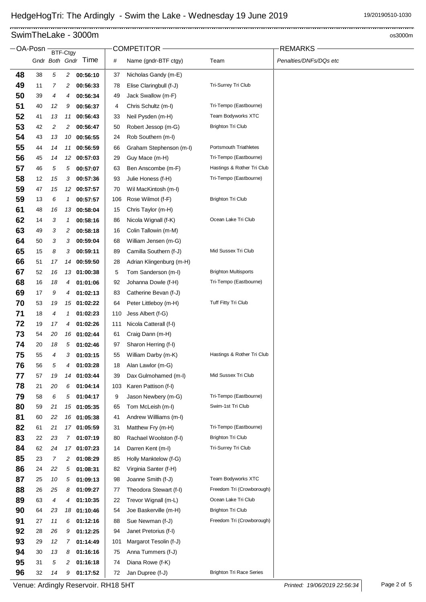## SwimTheLake - 3000m os3000m os3000m os3000m os3000m os3000m

|          | OA-Posn  |          | BTF-Ctgy       |                         |           | COMPETITOR -                                 |                                 | <b>REMARKS</b>         |
|----------|----------|----------|----------------|-------------------------|-----------|----------------------------------------------|---------------------------------|------------------------|
|          |          |          |                | Gndr Both Gndr Time     | #         | Name (gndr-BTF ctgy)                         | Team                            | Penalties/DNFs/DQs etc |
| 48       | 38       | 5        | $\overline{a}$ | 00:56:10                | 37        | Nicholas Gandy (m-E)                         |                                 |                        |
| 49       | 11       | 7        | 2              | 00:56:33                | 78        | Elise Claringbull (f-J)                      | Tri-Surrey Tri Club             |                        |
| 50       | 39       | 4        | 4              | 00:56:34                | 49        | Jack Swallow (m-F)                           |                                 |                        |
| 51       | 40       | 12       | 9              | 00:56:37                | 4         | Chris Schultz (m-l)                          | Tri-Tempo (Eastbourne)          |                        |
| 52       | 41       | 13       | 11             | 00:56:43                | 33        | Neil Pysden (m-H)                            | Team Bodyworks XTC              |                        |
| 53       | 42       | 2        | 2              | 00:56:47                | 50        | Robert Jessop (m-G)                          | <b>Brighton Tri Club</b>        |                        |
| 54       | 43       | 13       | 10             | 00:56:55                | 24        | Rob Southern (m-l)                           |                                 |                        |
| 55       | 44       | 14       | 11             | 00:56:59                | 66        | Graham Stephenson (m-l)                      | <b>Portsmouth Triathletes</b>   |                        |
| 56       | 45       | 14       |                | 12 00:57:03             | 29        | Guy Mace (m-H)                               | Tri-Tempo (Eastbourne)          |                        |
| 57       | 46       | 5        | 5              | 00:57:07                | 63        | Ben Anscombe (m-F)                           | Hastings & Rother Tri Club      |                        |
| 58       | 12       | 15       | 3              | 00:57:36                | 93        | Julie Honess (f-H)                           | Tri-Tempo (Eastbourne)          |                        |
| 59       | 47       | 15       | 12             | 00:57:57                | 70        | Wil MacKintosh (m-I)                         |                                 |                        |
| 59       | 13       | 6        | 1              | 00:57:57                | 106       | Rose Wilmot (f-F)                            | <b>Brighton Tri Club</b>        |                        |
| 61       | 48       | 16       |                | 13 00:58:04             | 15        | Chris Taylor (m-H)                           |                                 |                        |
| 62       | 14       | 3        | 1              | 00:58:16                | 86        | Nicola Wignall (f-K)                         | Ocean Lake Tri Club             |                        |
| 63       | 49       | 3        | 2              | 00:58:18                | 16        | Colin Tallowin (m-M)                         |                                 |                        |
| 64       | 50       | 3        | 3              | 00:59:04                | 68        | William Jensen (m-G)                         |                                 |                        |
| 65       | 15       | 8        | 3              | 00:59:11                | 89        | Camilla Southern (f-J)                       | Mid Sussex Tri Club             |                        |
| 66       | 51       | 17       | 14             | 00:59:50                | 28        | Adrian Klingenburg (m-H)                     |                                 |                        |
| 67       | 52       | 16       |                | 13 01:00:38             | 5         | Tom Sanderson (m-l)                          | <b>Brighton Multisports</b>     |                        |
| 68       | 16       | 18       | 4              | 01:01:06                | 92        | Johanna Dowle (f-H)                          | Tri-Tempo (Eastbourne)          |                        |
| 69       | 17       | 9        | 4              | 01:02:13                | 83        | Catherine Bevan (f-J)                        |                                 |                        |
| 70       | 53       | 19       |                | 15 01:02:22             | 64        | Peter Littleboy (m-H)                        | Tuff Fitty Tri Club             |                        |
| 71       | 18       | 4        | 1              | 01:02:23                | 110       | Jess Albert (f-G)                            |                                 |                        |
| 72       | 19       | 17       | 4              | 01:02:26                | 111       | Nicola Catterall (f-I)                       |                                 |                        |
| 73       | 54       | 20       | 16             | 01:02:44                | 61        | Craig Dann (m-H)                             |                                 |                        |
| 74       | 20       | 18       | 5              | 01:02:46                | 97        | Sharon Herring (f-I)                         |                                 |                        |
| 75       | 55       | 4        | 3              | 01:03:15                | 55        | William Darby (m-K)                          | Hastings & Rother Tri Club      |                        |
| 76<br>77 | 56       | 5        | 4              | 01:03:28                | 18        | Alan Lawlor (m-G)                            | Mid Sussex Tri Club             |                        |
| 78       | 57<br>21 | 19<br>20 | 6              | 14 01:03:44<br>01:04:14 | 39<br>103 | Dax Gulmohamed (m-I)<br>Karen Pattison (f-I) |                                 |                        |
| 79       | 58       | 6        | 5              | 01:04:17                | 9         | Jason Newbery (m-G)                          | Tri-Tempo (Eastbourne)          |                        |
| 80       | 59       | 21       | 15             | 01:05:35                | 65        | Tom McLeish (m-l)                            | Swim-1st Tri Club               |                        |
| 81       | 60       | 22       | 16             | 01:05:38                | 41        | Andrew Willliams (m-l)                       |                                 |                        |
| 82       | 61       | 21       |                | 17 01:05:59             | 31        | Matthew Fry (m-H)                            | Tri-Tempo (Eastbourne)          |                        |
| 83       | 22       | 23       | $\mathbf{7}$   | 01:07:19                | 80        | Rachael Woolston (f-I)                       | <b>Brighton Tri Club</b>        |                        |
| 84       | 62       | 24       |                | 17 01:07:23             | 14        | Darren Kent (m-l)                            | Tri-Surrey Tri Club             |                        |
| 85       | 23       | 7        | 2              | 01:08:29                | 85        | Holly Manktelow (f-G)                        |                                 |                        |
| 86       | 24       | 22       | 5              | 01:08:31                | 82        | Virginia Santer (f-H)                        |                                 |                        |
| 87       | 25       | 10       | 5              | 01:09:13                | 98        | Joanne Smith (f-J)                           | Team Bodyworks XTC              |                        |
| 88       | 26       | 25       | 8              | 01:09:27                | 77        | Theodora Stewart (f-I)                       | Freedom Tri (Crowborough)       |                        |
| 89       | 63       | 4        | 4              | 01:10:35                | 22        | Trevor Wignall (m-L)                         | Ocean Lake Tri Club             |                        |
| 90       | 64       | 23       | 18             | 01:10:46                | 54        | Joe Baskerville (m-H)                        | <b>Brighton Tri Club</b>        |                        |
| 91       | 27       | 11       | 6              | 01:12:16                | 88        | Sue Newman (f-J)                             | Freedom Tri (Crowborough)       |                        |
| 92       | 28       | 26       | 9              | 01:12:25                | 94        | Janet Pretorius (f-I)                        |                                 |                        |
| 93       | 29       | 12       | 7              | 01:14:49                | 101       | Margarot Tesolin (f-J)                       |                                 |                        |
| 94       | 30       | 13       | 8              | 01:16:16                | 75        | Anna Tummers (f-J)                           |                                 |                        |
| 95       | 31       | 5        | 2              | 01:16:18                | 74        | Diana Rowe (f-K)                             |                                 |                        |
| 96       | 32       | 14       | 9              | 01:17:52                | 72        | Jan Dupree (f-J)                             | <b>Brighton Tri Race Series</b> |                        |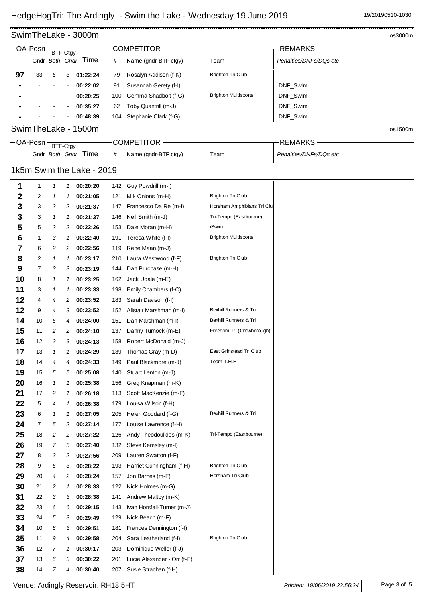### $\frac{1}{2}$ SwimTheLake - 3000m os3000m os3000m os3000m os3000m os3000m

|                           | $-$ OA-Posn - | BTF-Ctgy                   |               |                     |     | <b>COMPETITOR</b>           |                             | <b>REMARKS</b>         |  |  |  |  |
|---------------------------|---------------|----------------------------|---------------|---------------------|-----|-----------------------------|-----------------------------|------------------------|--|--|--|--|
|                           |               |                            |               | Gndr Both Gndr Time | #   | Name (gndr-BTF ctgy)        | Team                        | Penalties/DNFs/DQs etc |  |  |  |  |
| 97                        | 33            | 6                          | $\mathbf{3}$  | 01:22:24            | 79  | Rosalyn Addison (f-K)       | <b>Brighton Tri Club</b>    |                        |  |  |  |  |
|                           |               |                            |               | 00:22:02            | 91  | Susannah Gerety (f-I)       |                             | DNF_Swim               |  |  |  |  |
|                           |               |                            |               | 00:20:25            | 100 | Gemma Shadbolt (f-G)        | <b>Brighton Multisports</b> | DNF_Swim               |  |  |  |  |
|                           |               |                            |               | 00:35:27            | 62  | Toby Quantrill (m-J)        |                             | DNF_Swim               |  |  |  |  |
|                           |               |                            |               | 00:48:39            | 104 | Stephanie Clark (f-G)       |                             | DNF_Swim               |  |  |  |  |
| SwimTheLake - 1500m       |               |                            |               |                     |     |                             |                             |                        |  |  |  |  |
|                           |               |                            |               |                     |     |                             |                             | os1500m                |  |  |  |  |
|                           | $-OA-Posn -$  | BTF-Ctgy                   |               |                     |     | COMPETITOR -                |                             | <b>REMARKS</b>         |  |  |  |  |
|                           |               |                            |               | Gndr Both Gndr Time | #   | Name (gndr-BTF ctgy)        | Team                        | Penalties/DNFs/DQs etc |  |  |  |  |
| 1k5m Swim the Lake - 2019 |               |                            |               |                     |     |                             |                             |                        |  |  |  |  |
| 1                         | 1             | $\boldsymbol{\mathcal{L}}$ | 1             | 00:20:20            | 142 | Guy Powdrill (m-l)          |                             |                        |  |  |  |  |
| 2                         | 2             | 1                          | 1             | 00:21:05            | 121 | Mik Onions (m-H)            | <b>Brighton Tri Club</b>    |                        |  |  |  |  |
| 3                         | 3             | 2                          | 2             | 00:21:37            | 147 | Francesco Da Re (m-l)       | Horsham Amphibians Tri Clu  |                        |  |  |  |  |
| 3                         | 3             | 1                          | 1             | 00:21:37            | 146 | Neil Smith (m-J)            | Tri-Tempo (Eastbourne)      |                        |  |  |  |  |
| 5                         | 5             | 2                          | 2             | 00:22:26            | 153 | Dale Moran (m-H)            | iSwim                       |                        |  |  |  |  |
| 6                         | 1             | 3                          | $\mathcal{I}$ | 00:22:40            | 191 | Teresa White (f-I)          | <b>Brighton Multisports</b> |                        |  |  |  |  |
| 7                         | 6             | 2                          | 2             | 00:22:56            | 119 | Rene Maan (m-J)             |                             |                        |  |  |  |  |
| 8                         | 2             | 1                          | 1             | 00:23:17            | 210 | Laura Westwood (f-F)        | <b>Brighton Tri Club</b>    |                        |  |  |  |  |
| 9                         | 7             | 3                          | 3             | 00:23:19            | 144 | Dan Purchase (m-H)          |                             |                        |  |  |  |  |
| 10                        | 8             | 1                          | 1             | 00:23:25            | 162 | Jack Udale (m-E)            |                             |                        |  |  |  |  |
| 11                        | 3             | 1                          | 1             | 00:23:33            | 198 | Emily Chambers (f-C)        |                             |                        |  |  |  |  |
| 12                        | 4             | 4                          | 2             | 00:23:52            | 183 | Sarah Davison (f-I)         |                             |                        |  |  |  |  |
| 12                        | 9             | 4                          | 3             | 00:23:52            | 152 | Alistair Marshman (m-l)     | Bexhill Runners & Tri       |                        |  |  |  |  |
| 14                        | 10            | 6                          | 4             | 00:24:00            | 151 | Dan Marshman (m-l)          | Bexhill Runners & Tri       |                        |  |  |  |  |
| 15                        | 11            | 2                          | 2             | 00:24:10            | 137 | Danny Turnock (m-E)         | Freedom Tri (Crowborough)   |                        |  |  |  |  |
| 16                        | 12            | 3                          | 3             | 00:24:13            | 158 | Robert McDonald (m-J)       |                             |                        |  |  |  |  |
| 17                        | 13            | 1                          | 1             | 00:24:29            | 139 | Thomas Gray (m-D)           | East Grinstead Tri Club     |                        |  |  |  |  |
| 18                        | 14            | 4                          | 4             | 00:24:33            | 149 | Paul Blackmore (m-J)        | Team T.H.E                  |                        |  |  |  |  |
| 19                        | 15            | 5                          | 5             | 00:25:08            | 140 | Stuart Lenton (m-J)         |                             |                        |  |  |  |  |
| 20                        | 16            | 1                          | 1             | 00:25:38            | 156 | Greg Knapman (m-K)          |                             |                        |  |  |  |  |
| 21                        | 17            | 2                          | 1             | 00:26:18            | 113 | Scott MacKenzie (m-F)       |                             |                        |  |  |  |  |
| 22                        | 5             | 4                          | 1             | 00:26:38            | 179 | Louisa Wilson (f-H)         |                             |                        |  |  |  |  |
| 23                        | 6             | 1                          | 1             | 00:27:05            | 205 | Helen Goddard (f-G)         | Bexhill Runners & Tri       |                        |  |  |  |  |
| 24                        | 7             | 5                          | 2             | 00:27:14            | 177 | Louise Lawrence (f-H)       |                             |                        |  |  |  |  |
| 25                        | 18            | 2                          | 2             | 00:27:22            | 126 | Andy Theodoulides (m-K)     | Tri-Tempo (Eastbourne)      |                        |  |  |  |  |
| 26                        | 19            | 7                          | 5             | 00:27:40            | 132 | Steve Kemsley (m-I)         |                             |                        |  |  |  |  |
| 27                        | 8             | 3                          | 2             | 00:27:56            | 209 | Lauren Swatton (f-F)        |                             |                        |  |  |  |  |
| 28                        | 9             | 6                          | 3             | 00:28:22            | 193 | Harriet Cunningham (f-H)    | <b>Brighton Tri Club</b>    |                        |  |  |  |  |
| 29                        | 20            | 4                          | 2             | 00:28:24            | 157 | Jon Barnes (m-F)            | Horsham Tri Club            |                        |  |  |  |  |
| 30                        | 21            | 2                          | 1             | 00:28:33            | 122 | Nick Holmes (m-G)           |                             |                        |  |  |  |  |
| 31                        | 22            | 3                          | 3             | 00:28:38            | 141 | Andrew Maltby (m-K)         |                             |                        |  |  |  |  |
| 32                        | 23            | 6                          | 6             | 00:29:15            | 143 | Ivan Horsfall-Turner (m-J)  |                             |                        |  |  |  |  |
| 33                        | 24            | 5                          | 3             | 00:29:49            | 129 | Nick Beach (m-F)            |                             |                        |  |  |  |  |
| 34                        | 10            | 8                          | 3             | 00:29:51            | 181 | Frances Dennington (f-I)    |                             |                        |  |  |  |  |
| 35                        | 11            | 9                          | 4             | 00:29:58            | 204 | Sara Leatherland (f-I)      | <b>Brighton Tri Club</b>    |                        |  |  |  |  |
| 36                        | 12            | 7                          | 1             | 00:30:17            | 203 | Dominique Weller (f-J)      |                             |                        |  |  |  |  |
| 37                        | 13            | 6                          | 3             | 00:30:22            | 201 | Lucie Alexander - Orr (f-F) |                             |                        |  |  |  |  |
| 38                        | 14            | 7                          | 4             | 00:30:40            | 207 | Susie Strachan (f-H)        |                             |                        |  |  |  |  |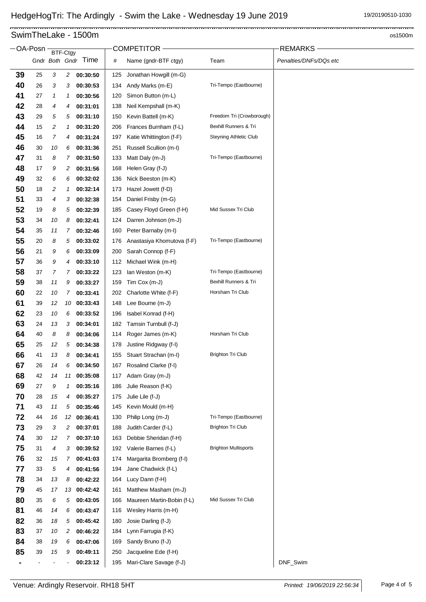.....................

### 

# SwimTheLake - 1500m os1500m

|          | OA-Posn  |          | BTF-Ctgy       |                      |            | COMPETITOR -                               |                               | <b>REMARKS</b>         |
|----------|----------|----------|----------------|----------------------|------------|--------------------------------------------|-------------------------------|------------------------|
|          |          |          |                | Gndr Both Gndr Time  | #          | Name (gndr-BTF ctgy)                       | Team                          | Penalties/DNFs/DQs etc |
| 39       | 25       | 3        | $\overline{c}$ | 00:30:50             | 125        | Jonathan Howgill (m-G)                     |                               |                        |
| 40       | 26       | 3        | 3              | 00:30:53             | 134        | Andy Marks (m-E)                           | Tri-Tempo (Eastbourne)        |                        |
| 41       | 27       | 1        | 1              | 00:30:56             | 120        | Simon Button (m-L)                         |                               |                        |
| 42       | 28       | 4        | 4              | 00:31:01             | 138        | Neil Kempshall (m-K)                       |                               |                        |
| 43       | 29       | 5        | 5              | 00:31:10             | 150        | Kevin Battell (m-K)                        | Freedom Tri (Crowborough)     |                        |
| 44       | 15       | 2        | 1              | 00:31:20             | 206        | Frances Burnham (f-L)                      | Bexhill Runners & Tri         |                        |
| 45       | 16       | 7        | 4              | 00:31:24             | 197        | Katie Whittington (f-F)                    | <b>Steyning Athletic Club</b> |                        |
| 46       | 30       | 10       | 6              | 00:31:36             | 251        | Russell Scullion (m-I)                     |                               |                        |
| 47       | 31       | 8        | 7              | 00:31:50             | 133        | Matt Daly (m-J)                            | Tri-Tempo (Eastbourne)        |                        |
| 48       | 17       | 9        | 2              | 00:31:56             | 168        | Helen Gray (f-J)                           |                               |                        |
| 49       | 32       | 6        | 6              | 00:32:02             | 136        | Nick Beeston (m-K)                         |                               |                        |
| 50       | 18       | 2        | 1              | 00:32:14             | 173        | Hazel Jowett (f-D)                         |                               |                        |
| 51       | 33       | 4        | 3              | 00:32:38             | 154        | Daniel Frisby (m-G)                        |                               |                        |
| 52       | 19       | 8        | 5              | 00:32:39             | 185        | Casey Floyd Green (f-H)                    | Mid Sussex Tri Club           |                        |
| 53       | 34       | 10       | 8              | 00:32:41             | 124        | Darren Johnson (m-J)                       |                               |                        |
| 54       | 35       | 11       | 7              | 00:32:46             | 160        | Peter Barnaby (m-I)                        |                               |                        |
| 55       | 20       | 8        | 5              | 00:33:02             | 176        | Anastasiya Khomutova (f-F)                 | Tri-Tempo (Eastbourne)        |                        |
| 56       | 21       | 9        | 6              | 00:33:09             | 200        | Sarah Connop (f-F)                         |                               |                        |
| 57       | 36       | 9        | 4              | 00:33:10             | 112        | Michael Wink (m-H)                         |                               |                        |
| 58       | 37       | 7        | 7              | 00:33:22             | 123        | lan Weston (m-K)                           | Tri-Tempo (Eastbourne)        |                        |
| 59       | 38       | 11       | 9              | 00:33:27             | 159        | Tim Cox (m-J)                              | Bexhill Runners & Tri         |                        |
| 60       | 22       | 10       | 7              | 00:33:41             | 202        | Charlotte White (f-F)                      | Horsham Tri Club              |                        |
| 61       | 39       | 12       | 10             | 00:33:43             | 148        | Lee Bourne (m-J)                           |                               |                        |
| 62       | 23       | 10       | 6              | 00:33:52             | 196        | Isabel Konrad (f-H)                        |                               |                        |
| 63       | 24       | 13       | 3              | 00:34:01             | 182        | Tamsin Turnbull (f-J)                      |                               |                        |
| 64       | 40       | 8        | 8              | 00:34:06             | 114        | Roger James (m-K)                          | Horsham Tri Club              |                        |
| 65       | 25       | 12       | 5              | 00:34:38             | 178        | Justine Ridgway (f-I)                      |                               |                        |
| 66       | 41       | 13       | 8              | 00:34:41             | 155        | Stuart Strachan (m-l)                      | <b>Brighton Tri Club</b>      |                        |
| 67       | 26       | 14       | 6              | 00:34:50             | 167        | Rosalind Clarke (f-I)                      |                               |                        |
| 68       | 42       | 14       | 11             | 00:35:08             | 117        | Adam Gray (m-J)                            |                               |                        |
| 69       | 27       | 9        | 1              | 00:35:16             | 186        | Julie Reason (f-K)                         |                               |                        |
| 70       | 28       | 15       | 4              | 00:35:27             | 175        | Julie Lile (f-J)                           |                               |                        |
| 71       | 43       | 11       | 5              | 00:35:46             | 145        | Kevin Mould (m-H)                          |                               |                        |
| 72       | 44       | 16       | 12             | 00:36:41             | 130        | Philip Long (m-J)                          | Tri-Tempo (Eastbourne)        |                        |
| 73       | 29       | 3        | 2              | 00:37:01             | 188        | Judith Carder (f-L)                        | <b>Brighton Tri Club</b>      |                        |
| 74       | 30       | 12       | 7              | 00:37:10             | 163        | Debbie Sheridan (f-H)                      |                               |                        |
| 75       | 31       | 4        | 3              | 00:39:52             | 192        | Valerie Barnes (f-L)                       | <b>Brighton Multisports</b>   |                        |
| 76       | 32       | 15       | 7              | 00:41:03             | 174        | Margarita Bromberg (f-I)                   |                               |                        |
| 77       | 33       | 5        | 4              | 00:41:56             | 194        | Jane Chadwick (f-L)                        |                               |                        |
| 78       | 34       | 13       | 8              | 00:42:22             | 164        | Lucy Dann (f-H)                            |                               |                        |
| 79       | 45       | 17       | 13             | 00:42:42             | 161        | Matthew Masham (m-J)                       | Mid Sussex Tri Club           |                        |
| 80<br>81 | 35       | 6        | 5              | 00:43:05             | 166        | Maureen Martin-Bobin (f-L)                 |                               |                        |
| 82       | 46       | 14<br>18 | 6<br>5         | 00:43:47<br>00:45:42 | 116<br>180 | Wesley Harris (m-H)<br>Josie Darling (f-J) |                               |                        |
| 83       | 36<br>37 | 10       | 2              | 00:46:22             | 184        | Lynn Farrugia (f-K)                        |                               |                        |
| 84       | 38       | 19       | 6              | 00:47:06             | 169        | Sandy Bruno (f-J)                          |                               |                        |
| 85       | 39       | 15       | 9              | 00:49:11             | 250        | Jacqueline Ede (f-H)                       |                               |                        |
|          |          |          |                | 00:23:12             | 195        | Mari-Clare Savage (f-J)                    |                               | DNF_Swim               |
|          |          |          |                |                      |            |                                            |                               |                        |